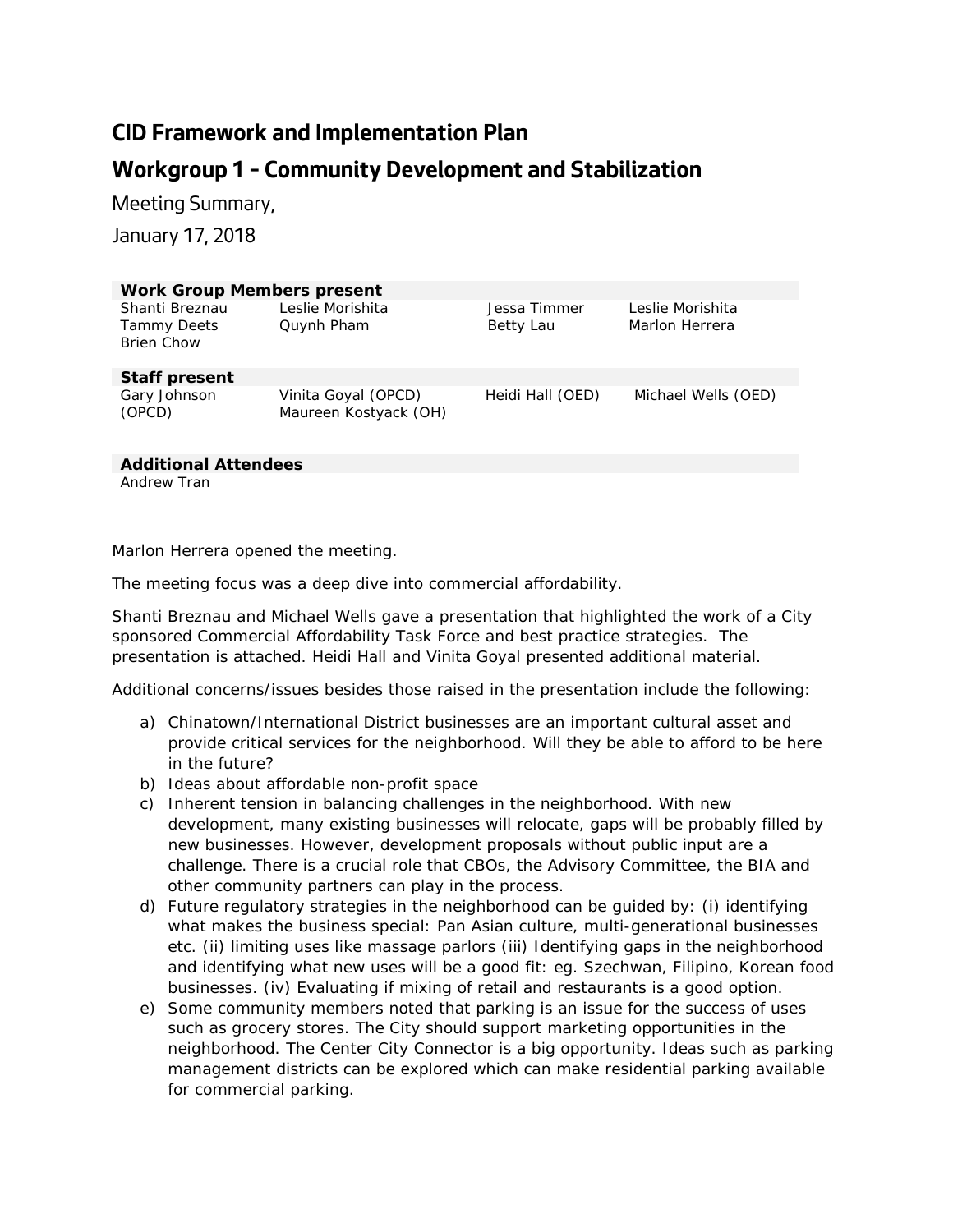## **CID Framework and Implementation Plan Workgroup 1 – Community Development and Stabilization**

Meeting Summary,

January 17, 2018

| <b>Work Group Members present</b>                         |                                              |                           |                                    |
|-----------------------------------------------------------|----------------------------------------------|---------------------------|------------------------------------|
| Shanti Breznau<br><b>Tammy Deets</b><br><b>Brien Chow</b> | Leslie Morishita<br>Quynh Pham               | Jessa Timmer<br>Betty Lau | Leslie Morishita<br>Marlon Herrera |
| <b>Staff present</b>                                      |                                              |                           |                                    |
| Gary Johnson<br>(OPCD)                                    | Vinita Goyal (OPCD)<br>Maureen Kostyack (OH) | Heidi Hall (OED)          | Michael Wells (OED)                |

**Additional Attendees**

Andrew Tran

Marlon Herrera opened the meeting.

The meeting focus was a deep dive into commercial affordability.

Shanti Breznau and Michael Wells gave a presentation that highlighted the work of a City sponsored Commercial Affordability Task Force and best practice strategies. The presentation is attached. Heidi Hall and Vinita Goyal presented additional material.

Additional concerns/issues besides those raised in the presentation include the following:

- a) Chinatown/International District businesses are an important cultural asset and provide critical services for the neighborhood. Will they be able to afford to be here in the future?
- b) Ideas about affordable non-profit space
- c) Inherent tension in balancing challenges in the neighborhood. With new development, many existing businesses will relocate, gaps will be probably filled by new businesses. However, development proposals without public input are a challenge. There is a crucial role that CBOs, the Advisory Committee, the BIA and other community partners can play in the process.
- d) Future regulatory strategies in the neighborhood can be guided by: (i) identifying what makes the business special: Pan Asian culture, multi-generational businesses etc. (ii) limiting uses like massage parlors (iii) Identifying gaps in the neighborhood and identifying what new uses will be a good fit: eg. Szechwan, Filipino, Korean food businesses. (iv) Evaluating if mixing of retail and restaurants is a good option.
- e) Some community members noted that parking is an issue for the success of uses such as grocery stores. The City should support marketing opportunities in the neighborhood. The Center City Connector is a big opportunity. Ideas such as parking management districts can be explored which can make residential parking available for commercial parking.